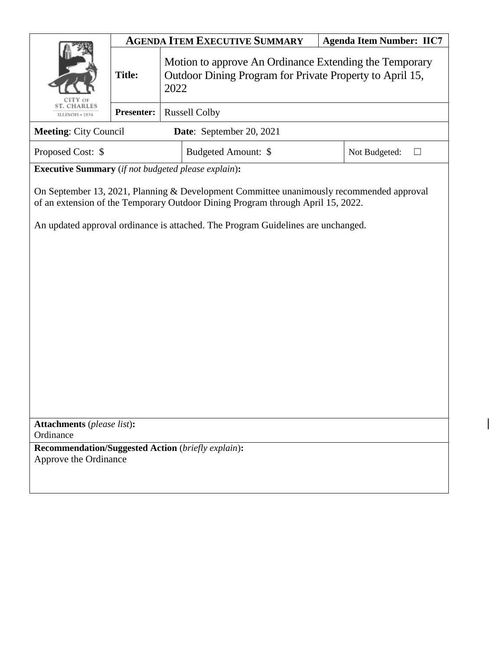|                                                                                                                                                                             | <b>AGENDA ITEM EXECUTIVE SUMMARY</b> |                                                                                                                            |                     | <b>Agenda Item Number: IIC7</b> |               |  |
|-----------------------------------------------------------------------------------------------------------------------------------------------------------------------------|--------------------------------------|----------------------------------------------------------------------------------------------------------------------------|---------------------|---------------------------------|---------------|--|
|                                                                                                                                                                             | <b>Title:</b>                        | Motion to approve An Ordinance Extending the Temporary<br>Outdoor Dining Program for Private Property to April 15,<br>2022 |                     |                                 |               |  |
| <b>ST. CHARLES</b><br>ILLINOIS + 1834                                                                                                                                       | <b>Presenter:</b>                    | <b>Russell Colby</b>                                                                                                       |                     |                                 |               |  |
| <b>Meeting: City Council</b><br>Date: September 20, 2021                                                                                                                    |                                      |                                                                                                                            |                     |                                 |               |  |
| Proposed Cost: \$                                                                                                                                                           |                                      |                                                                                                                            | Budgeted Amount: \$ |                                 | Not Budgeted: |  |
| <b>Executive Summary</b> (if not budgeted please explain):                                                                                                                  |                                      |                                                                                                                            |                     |                                 |               |  |
| On September 13, 2021, Planning & Development Committee unanimously recommended approval<br>of an extension of the Temporary Outdoor Dining Program through April 15, 2022. |                                      |                                                                                                                            |                     |                                 |               |  |
| An updated approval ordinance is attached. The Program Guidelines are unchanged.                                                                                            |                                      |                                                                                                                            |                     |                                 |               |  |
|                                                                                                                                                                             |                                      |                                                                                                                            |                     |                                 |               |  |
|                                                                                                                                                                             |                                      |                                                                                                                            |                     |                                 |               |  |
|                                                                                                                                                                             |                                      |                                                                                                                            |                     |                                 |               |  |
|                                                                                                                                                                             |                                      |                                                                                                                            |                     |                                 |               |  |
|                                                                                                                                                                             |                                      |                                                                                                                            |                     |                                 |               |  |
|                                                                                                                                                                             |                                      |                                                                                                                            |                     |                                 |               |  |
|                                                                                                                                                                             |                                      |                                                                                                                            |                     |                                 |               |  |
|                                                                                                                                                                             |                                      |                                                                                                                            |                     |                                 |               |  |
| <b>Attachments</b> (please list):                                                                                                                                           |                                      |                                                                                                                            |                     |                                 |               |  |
| Ordinance                                                                                                                                                                   |                                      |                                                                                                                            |                     |                                 |               |  |
| <b>Recommendation/Suggested Action</b> (briefly explain):<br>Approve the Ordinance                                                                                          |                                      |                                                                                                                            |                     |                                 |               |  |
|                                                                                                                                                                             |                                      |                                                                                                                            |                     |                                 |               |  |
|                                                                                                                                                                             |                                      |                                                                                                                            |                     |                                 |               |  |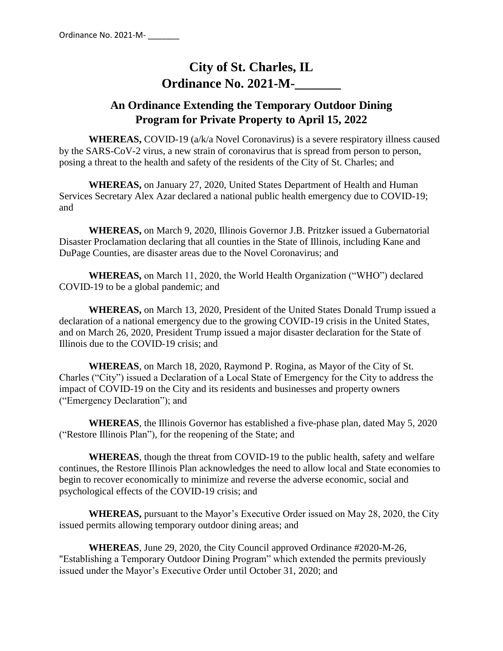# **City of St. Charles, IL Ordinance No. 2021-M-**

# **An Ordinance Extending the Temporary Outdoor Dining Program for Private Property to April 15, 2022**

**WHEREAS,** COVID-19 (a/k/a Novel Coronavirus) is a severe respiratory illness caused by the SARS-CoV-2 virus, a new strain of coronavirus that is spread from person to person, posing a threat to the health and safety of the residents of the City of St. Charles; and

**WHEREAS,** on January 27, 2020, United States Department of Health and Human Services Secretary Alex Azar declared a national public health emergency due to COVID-19; and

**WHEREAS,** on March 9, 2020, Illinois Governor J.B. Pritzker issued a Gubernatorial Disaster Proclamation declaring that all counties in the State of Illinois, including Kane and DuPage Counties, are disaster areas due to the Novel Coronavirus; and

**WHEREAS,** on March 11, 2020, the World Health Organization ("WHO") declared COVID-19 to be a global pandemic; and

**WHEREAS,** on March 13, 2020, President of the United States Donald Trump issued a declaration of a national emergency due to the growing COVID-19 crisis in the United States, and on March 26, 2020, President Trump issued a major disaster declaration for the State of Illinois due to the COVID-19 crisis; and

**WHEREAS**, on March 18, 2020, Raymond P. Rogina, as Mayor of the City of St. Charles ("City") issued a Declaration of a Local State of Emergency for the City to address the impact of COVID-19 on the City and its residents and businesses and property owners ("Emergency Declaration"); and

**WHEREAS**, the Illinois Governor has established a five-phase plan, dated May 5, 2020 ("Restore Illinois Plan"), for the reopening of the State; and

**WHEREAS**, though the threat from COVID-19 to the public health, safety and welfare continues, the Restore Illinois Plan acknowledges the need to allow local and State economies to begin to recover economically to minimize and reverse the adverse economic, social and psychological effects of the COVID-19 crisis; and

**WHEREAS,** pursuant to the Mayor's Executive Order issued on May 28, 2020, the City issued permits allowing temporary outdoor dining areas; and

**WHEREAS**, June 29, 2020, the City Council approved Ordinance #2020-M-26, "Establishing a Temporary Outdoor Dining Program" which extended the permits previously issued under the Mayor's Executive Order until October 31, 2020; and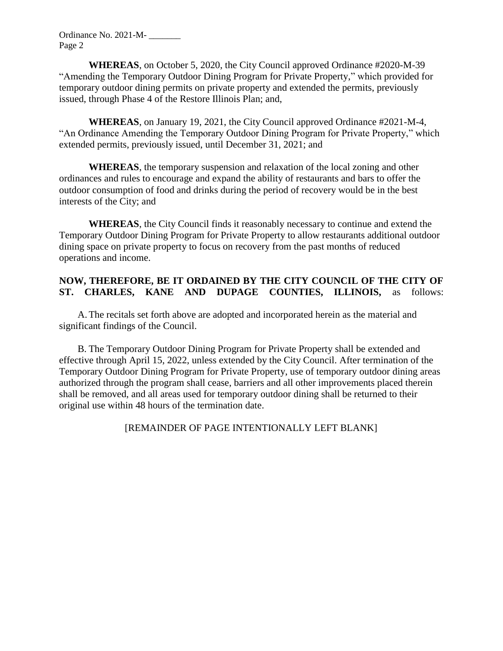Ordinance No. 2021-M- \_\_\_\_\_\_\_ Page 2

**WHEREAS**, on October 5, 2020, the City Council approved Ordinance #2020-M-39 "Amending the Temporary Outdoor Dining Program for Private Property," which provided for temporary outdoor dining permits on private property and extended the permits, previously issued, through Phase 4 of the Restore Illinois Plan; and,

**WHEREAS**, on January 19, 2021, the City Council approved Ordinance #2021-M-4, "An Ordinance Amending the Temporary Outdoor Dining Program for Private Property," which extended permits, previously issued, until December 31, 2021; and

**WHEREAS**, the temporary suspension and relaxation of the local zoning and other ordinances and rules to encourage and expand the ability of restaurants and bars to offer the outdoor consumption of food and drinks during the period of recovery would be in the best interests of the City; and

**WHEREAS**, the City Council finds it reasonably necessary to continue and extend the Temporary Outdoor Dining Program for Private Property to allow restaurants additional outdoor dining space on private property to focus on recovery from the past months of reduced operations and income.

#### **NOW, THEREFORE, BE IT ORDAINED BY THE CITY COUNCIL OF THE CITY OF ST. CHARLES, KANE AND DUPAGE COUNTIES, ILLINOIS,** as follows:

A.The recitals set forth above are adopted and incorporated herein as the material and significant findings of the Council.

B. The Temporary Outdoor Dining Program for Private Property shall be extended and effective through April 15, 2022, unless extended by the City Council. After termination of the Temporary Outdoor Dining Program for Private Property, use of temporary outdoor dining areas authorized through the program shall cease, barriers and all other improvements placed therein shall be removed, and all areas used for temporary outdoor dining shall be returned to their original use within 48 hours of the termination date.

[REMAINDER OF PAGE INTENTIONALLY LEFT BLANK]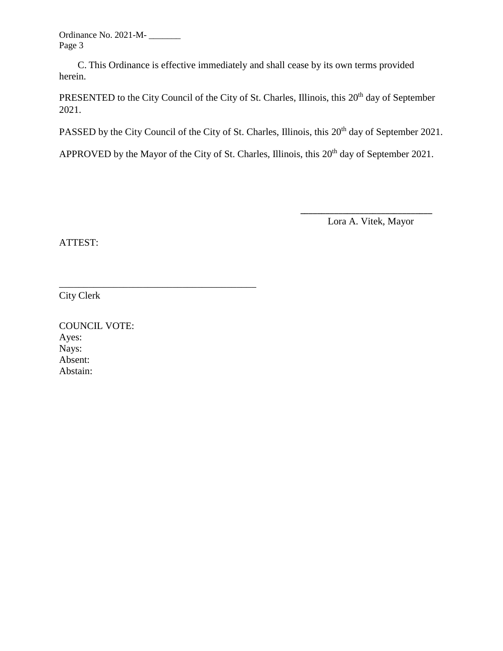Ordinance No. 2021-M- \_\_\_\_\_\_\_ Page 3

C. This Ordinance is effective immediately and shall cease by its own terms provided herein.

PRESENTED to the City Council of the City of St. Charles, Illinois, this 20<sup>th</sup> day of September 2021.

PASSED by the City Council of the City of St. Charles, Illinois, this 20<sup>th</sup> day of September 2021.

APPROVED by the Mayor of the City of St. Charles, Illinois, this 20<sup>th</sup> day of September 2021.

 $\frac{1}{2}$  , and the contract of the contract of the contract of the contract of the contract of the contract of the contract of the contract of the contract of the contract of the contract of the contract of the contract

Lora A. Vitek, Mayor

ATTEST:

City Clerk

COUNCIL VOTE: Ayes: Nays: Absent: Abstain:

\_\_\_\_\_\_\_\_\_\_\_\_\_\_\_\_\_\_\_\_\_\_\_\_\_\_\_\_\_\_\_\_\_\_\_\_\_\_\_\_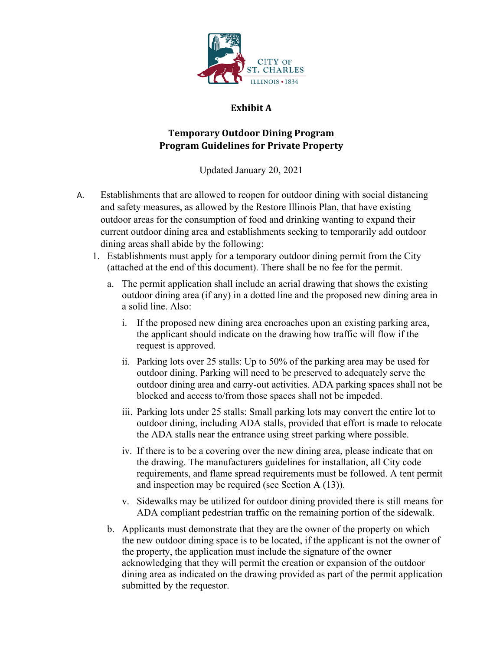

### **Exhibit A**

## **Temporary Outdoor Dining Program Program Guidelines for Private Property**

Updated January 20, 2021

- A. Establishments that are allowed to reopen for outdoor dining with social distancing and safety measures, as allowed by the Restore Illinois Plan, that have existing outdoor areas for the consumption of food and drinking wanting to expand their current outdoor dining area and establishments seeking to temporarily add outdoor dining areas shall abide by the following:
	- 1. Establishments must apply for a temporary outdoor dining permit from the City (attached at the end of this document). There shall be no fee for the permit.
		- a. The permit application shall include an aerial drawing that shows the existing outdoor dining area (if any) in a dotted line and the proposed new dining area in a solid line. Also:
			- i. If the proposed new dining area encroaches upon an existing parking area, the applicant should indicate on the drawing how traffic will flow if the request is approved.
			- ii. Parking lots over 25 stalls: Up to 50% of the parking area may be used for outdoor dining. Parking will need to be preserved to adequately serve the outdoor dining area and carry-out activities. ADA parking spaces shall not be blocked and access to/from those spaces shall not be impeded.
			- iii. Parking lots under 25 stalls: Small parking lots may convert the entire lot to outdoor dining, including ADA stalls, provided that effort is made to relocate the ADA stalls near the entrance using street parking where possible.
			- iv. If there is to be a covering over the new dining area, please indicate that on the drawing. The manufacturers guidelines for installation, all City code requirements, and flame spread requirements must be followed. A tent permit and inspection may be required (see Section A (13)).
			- v. Sidewalks may be utilized for outdoor dining provided there is still means for ADA compliant pedestrian traffic on the remaining portion of the sidewalk.
		- b. Applicants must demonstrate that they are the owner of the property on which the new outdoor dining space is to be located, if the applicant is not the owner of the property, the application must include the signature of the owner acknowledging that they will permit the creation or expansion of the outdoor dining area as indicated on the drawing provided as part of the permit application submitted by the requestor.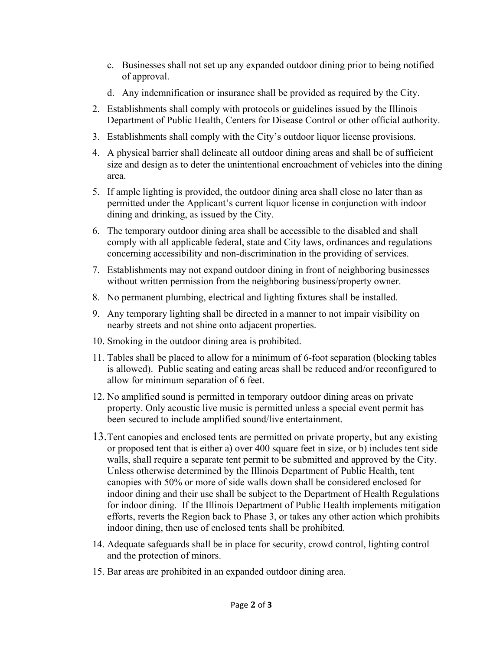- c. Businesses shall not set up any expanded outdoor dining prior to being notified of approval.
- d. Any indemnification or insurance shall be provided as required by the City.
- 2. Establishments shall comply with protocols or guidelines issued by the Illinois Department of Public Health, Centers for Disease Control or other official authority.
- 3. Establishments shall comply with the City's outdoor liquor license provisions.
- 4. A physical barrier shall delineate all outdoor dining areas and shall be of sufficient size and design as to deter the unintentional encroachment of vehicles into the dining area.
- 5. If ample lighting is provided, the outdoor dining area shall close no later than as permitted under the Applicant's current liquor license in conjunction with indoor dining and drinking, as issued by the City.
- 6. The temporary outdoor dining area shall be accessible to the disabled and shall comply with all applicable federal, state and City laws, ordinances and regulations concerning accessibility and non-discrimination in the providing of services.
- 7. Establishments may not expand outdoor dining in front of neighboring businesses without written permission from the neighboring business/property owner.
- 8. No permanent plumbing, electrical and lighting fixtures shall be installed.
- 9. Any temporary lighting shall be directed in a manner to not impair visibility on nearby streets and not shine onto adjacent properties.
- 10. Smoking in the outdoor dining area is prohibited.
- 11. Tables shall be placed to allow for a minimum of 6-foot separation (blocking tables is allowed). Public seating and eating areas shall be reduced and/or reconfigured to allow for minimum separation of 6 feet.
- 12. No amplified sound is permitted in temporary outdoor dining areas on private property. Only acoustic live music is permitted unless a special event permit has been secured to include amplified sound/live entertainment.
- 13.Tent canopies and enclosed tents are permitted on private property, but any existing or proposed tent that is either a) over 400 square feet in size, or b) includes tent side walls, shall require a separate tent permit to be submitted and approved by the City. Unless otherwise determined by the Illinois Department of Public Health, tent canopies with 50% or more of side walls down shall be considered enclosed for indoor dining and their use shall be subject to the Department of Health Regulations for indoor dining. If the Illinois Department of Public Health implements mitigation efforts, reverts the Region back to Phase 3, or takes any other action which prohibits indoor dining, then use of enclosed tents shall be prohibited.
- 14. Adequate safeguards shall be in place for security, crowd control, lighting control and the protection of minors.
- 15. Bar areas are prohibited in an expanded outdoor dining area.